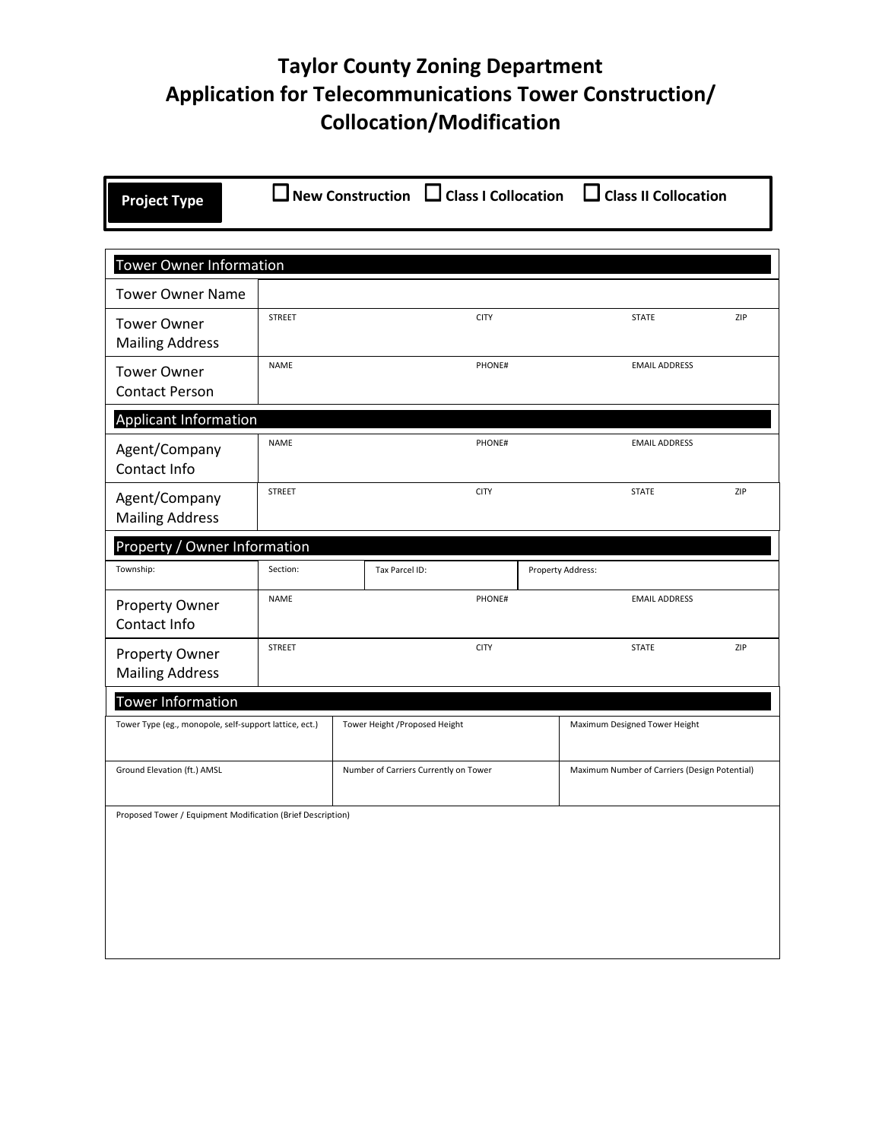## **Taylor County Zoning Department Application for Telecommunications Tower Construction/ Collocation/Modification**

| <b>Project Type</b>                                         |               |                                       | New Construction $\Box$ Class I Collocation |             |  |                                               | $\Box$ Class II Collocation |     |
|-------------------------------------------------------------|---------------|---------------------------------------|---------------------------------------------|-------------|--|-----------------------------------------------|-----------------------------|-----|
|                                                             |               |                                       |                                             |             |  |                                               |                             |     |
| <b>Tower Owner Information</b>                              |               |                                       |                                             |             |  |                                               |                             |     |
| <b>Tower Owner Name</b>                                     |               |                                       |                                             |             |  |                                               |                             |     |
| <b>Tower Owner</b><br><b>Mailing Address</b>                | <b>STREET</b> |                                       |                                             | <b>CITY</b> |  |                                               | <b>STATE</b>                | ZIP |
| <b>Tower Owner</b><br><b>Contact Person</b>                 | <b>NAME</b>   |                                       |                                             | PHONE#      |  |                                               | <b>EMAIL ADDRESS</b>        |     |
| <b>Applicant Information</b>                                |               |                                       |                                             |             |  |                                               |                             |     |
| Agent/Company<br>Contact Info                               | <b>NAME</b>   |                                       |                                             | PHONE#      |  |                                               | <b>EMAIL ADDRESS</b>        |     |
| Agent/Company<br><b>Mailing Address</b>                     | <b>STREET</b> |                                       |                                             | <b>CITY</b> |  |                                               | <b>STATE</b>                | ZIP |
| Property / Owner Information                                |               |                                       |                                             |             |  |                                               |                             |     |
| Township:                                                   | Section:      |                                       | Tax Parcel ID:                              |             |  | Property Address:                             |                             |     |
| <b>Property Owner</b><br>Contact Info                       | <b>NAME</b>   |                                       |                                             | PHONE#      |  |                                               | <b>EMAIL ADDRESS</b>        |     |
| <b>Property Owner</b><br><b>Mailing Address</b>             | <b>STREET</b> |                                       |                                             | <b>CITY</b> |  |                                               | <b>STATE</b>                | ZIP |
| <b>Tower Information</b>                                    |               |                                       |                                             |             |  |                                               |                             |     |
| Tower Type (eg., monopole, self-support lattice, ect.)      |               | Tower Height / Proposed Height        |                                             |             |  | Maximum Designed Tower Height                 |                             |     |
| Ground Elevation (ft.) AMSL                                 |               | Number of Carriers Currently on Tower |                                             |             |  | Maximum Number of Carriers (Design Potential) |                             |     |
| Proposed Tower / Equipment Modification (Brief Description) |               |                                       |                                             |             |  |                                               |                             |     |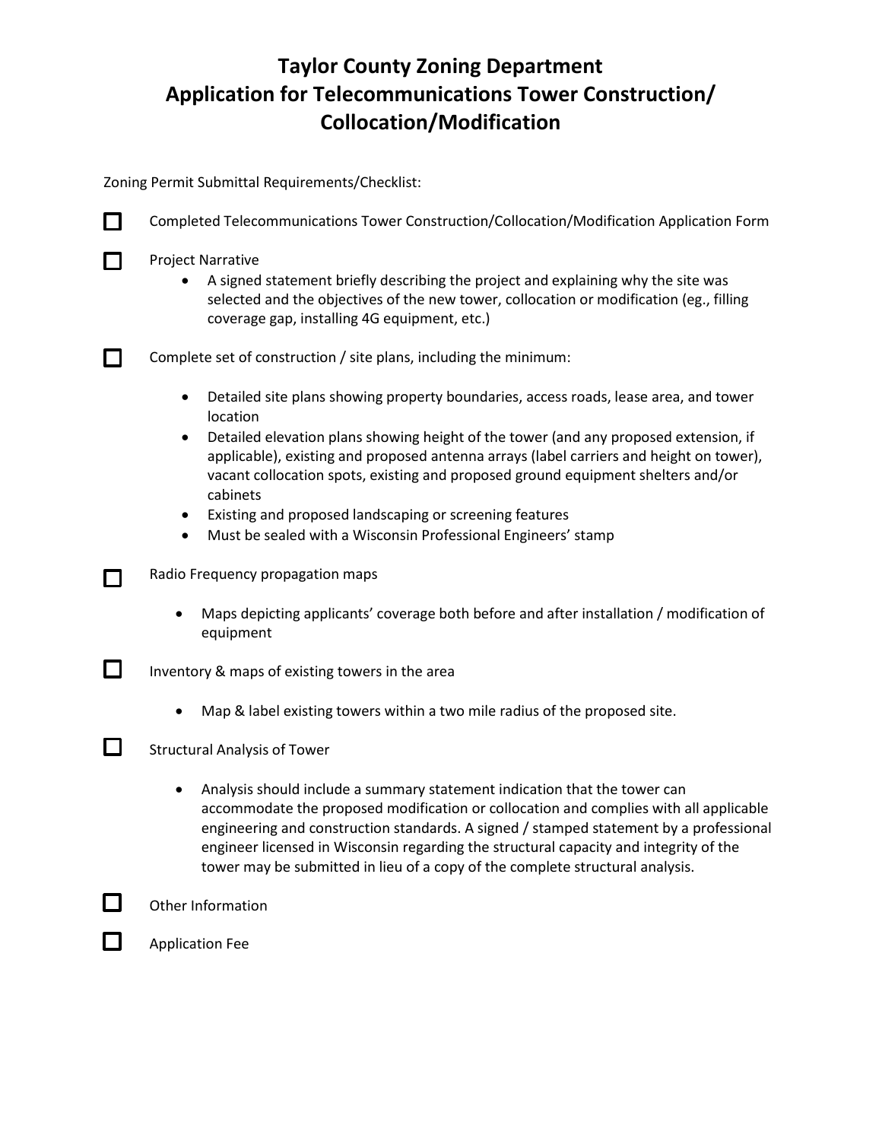## **Taylor County Zoning Department Application for Telecommunications Tower Construction/ Collocation/Modification**

Zoning Permit Submittal Requirements/Checklist:

| $\mathsf{L}$ | Completed Telecommunications Tower Construction/Collocation/Modification Application Form                                                                                                                                                                                                                                                                                                                                                                                                                                                                           |  |  |  |  |  |
|--------------|---------------------------------------------------------------------------------------------------------------------------------------------------------------------------------------------------------------------------------------------------------------------------------------------------------------------------------------------------------------------------------------------------------------------------------------------------------------------------------------------------------------------------------------------------------------------|--|--|--|--|--|
|              | <b>Project Narrative</b><br>A signed statement briefly describing the project and explaining why the site was<br>selected and the objectives of the new tower, collocation or modification (eg., filling<br>coverage gap, installing 4G equipment, etc.)                                                                                                                                                                                                                                                                                                            |  |  |  |  |  |
|              | Complete set of construction / site plans, including the minimum:                                                                                                                                                                                                                                                                                                                                                                                                                                                                                                   |  |  |  |  |  |
|              | Detailed site plans showing property boundaries, access roads, lease area, and tower<br>$\bullet$<br>location<br>Detailed elevation plans showing height of the tower (and any proposed extension, if<br>$\bullet$<br>applicable), existing and proposed antenna arrays (label carriers and height on tower),<br>vacant collocation spots, existing and proposed ground equipment shelters and/or<br>cabinets<br>Existing and proposed landscaping or screening features<br>$\bullet$<br>Must be sealed with a Wisconsin Professional Engineers' stamp<br>$\bullet$ |  |  |  |  |  |
|              | Radio Frequency propagation maps<br>Maps depicting applicants' coverage both before and after installation / modification of                                                                                                                                                                                                                                                                                                                                                                                                                                        |  |  |  |  |  |
|              | equipment                                                                                                                                                                                                                                                                                                                                                                                                                                                                                                                                                           |  |  |  |  |  |
| $\Box$       | Inventory & maps of existing towers in the area                                                                                                                                                                                                                                                                                                                                                                                                                                                                                                                     |  |  |  |  |  |
|              | Map & label existing towers within a two mile radius of the proposed site.                                                                                                                                                                                                                                                                                                                                                                                                                                                                                          |  |  |  |  |  |
| $\Box$       | <b>Structural Analysis of Tower</b>                                                                                                                                                                                                                                                                                                                                                                                                                                                                                                                                 |  |  |  |  |  |
|              | Analysis should include a summary statement indication that the tower can<br>accommodate the proposed modification or collocation and complies with all applicable<br>engineering and construction standards. A signed / stamped statement by a professional<br>engineer licensed in Wisconsin regarding the structural capacity and integrity of the<br>tower may be submitted in lieu of a copy of the complete structural analysis.                                                                                                                              |  |  |  |  |  |
|              | Other Information                                                                                                                                                                                                                                                                                                                                                                                                                                                                                                                                                   |  |  |  |  |  |
|              | <b>Application Fee</b>                                                                                                                                                                                                                                                                                                                                                                                                                                                                                                                                              |  |  |  |  |  |